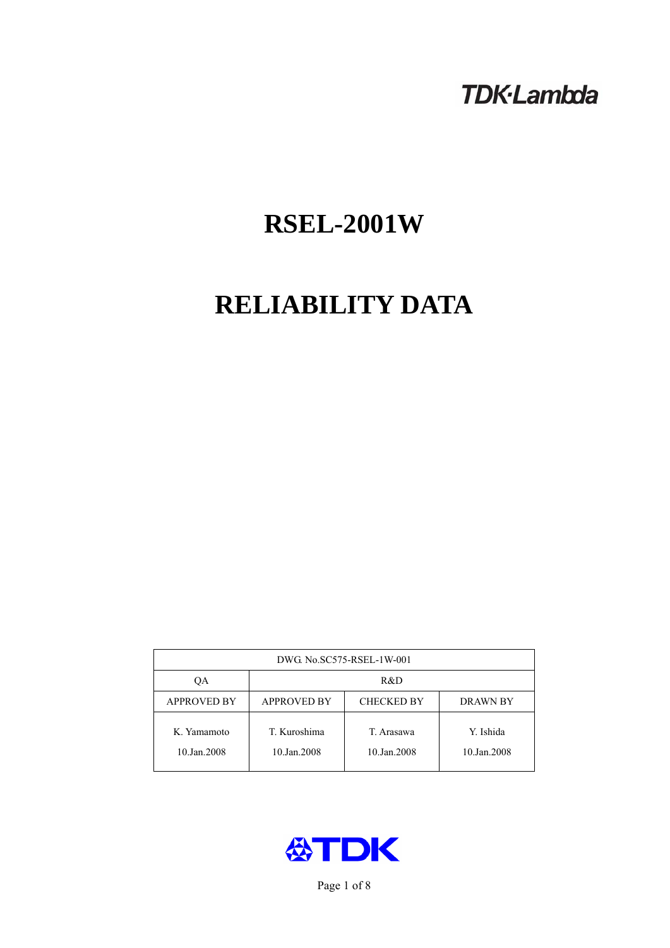# **TDK-Lambda**

# **RSEL-2001W**

# **RELIABILITY DATA**

| DWG No.SC575-RSEL-1W-001   |                                                            |                           |                          |  |  |
|----------------------------|------------------------------------------------------------|---------------------------|--------------------------|--|--|
| ОA                         | R&D                                                        |                           |                          |  |  |
| <b>APPROVED BY</b>         | <b>APPROVED BY</b><br><b>CHECKED BY</b><br><b>DRAWN BY</b> |                           |                          |  |  |
| K. Yamamoto<br>10.Jan.2008 | T. Kuroshima<br>10.Jan.2008                                | T. Arasawa<br>10.Jan.2008 | Y. Ishida<br>10.Jan.2008 |  |  |



Page 1 of 8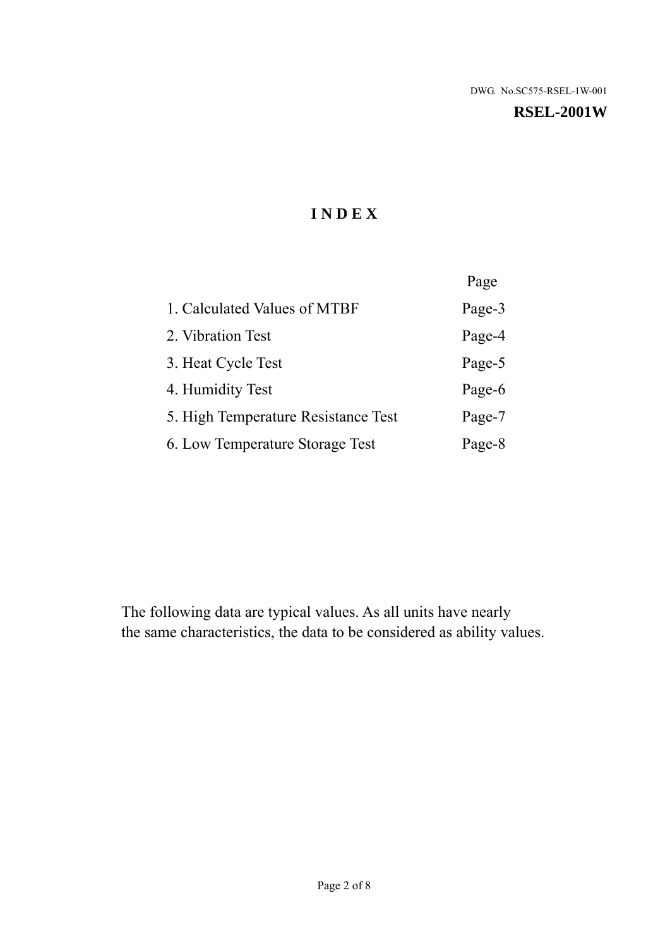#### **RSEL-2001W**

# **I N D E X**

|                                     | Page   |
|-------------------------------------|--------|
| 1. Calculated Values of MTBF        | Page-3 |
| 2. Vibration Test                   | Page-4 |
| 3. Heat Cycle Test                  | Page-5 |
| 4. Humidity Test                    | Page-6 |
| 5. High Temperature Resistance Test | Page-7 |
| 6. Low Temperature Storage Test     | Page-8 |

The following data are typical values. As all units have nearly the same characteristics, the data to be considered as ability values.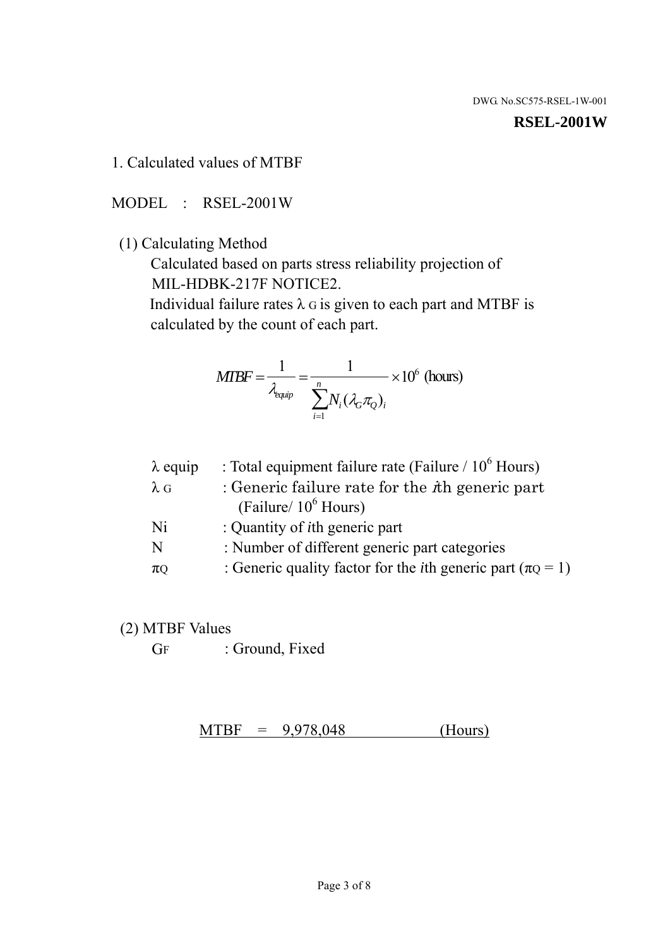#### **RSEL-2001W**

1. Calculated values of MTBF

MODEL : RSEL-2001W

(1) Calculating Method

 Calculated based on parts stress reliability projection of MIL-HDBK-217F NOTICE2.

Individual failure rates  $\lambda$  G is given to each part and MTBF is calculated by the count of each part.

$$
MTBF = \frac{1}{\lambda_{\text{equip}}} = \frac{1}{\sum_{i=1}^{n} N_i (\lambda_G \pi_Q)_i} \times 10^6 \text{ (hours)}
$$

| $\lambda$ equip | : Total equipment failure rate (Failure $/ 10^6$ Hours)                   |
|-----------------|---------------------------------------------------------------------------|
| $\lambda$ G     | : Generic failure rate for the $\hbar$ generic part                       |
|                 | (Failure/ $10^6$ Hours)                                                   |
| Ni              | : Quantity of <i>i</i> th generic part                                    |
| N               | : Number of different generic part categories                             |
| $\pi$ Q         | : Generic quality factor for the <i>i</i> th generic part ( $\pi Q = 1$ ) |

- (2) MTBF Values
	- GF : Ground, Fixed

 $MTBF = 9,978,048$  (Hours)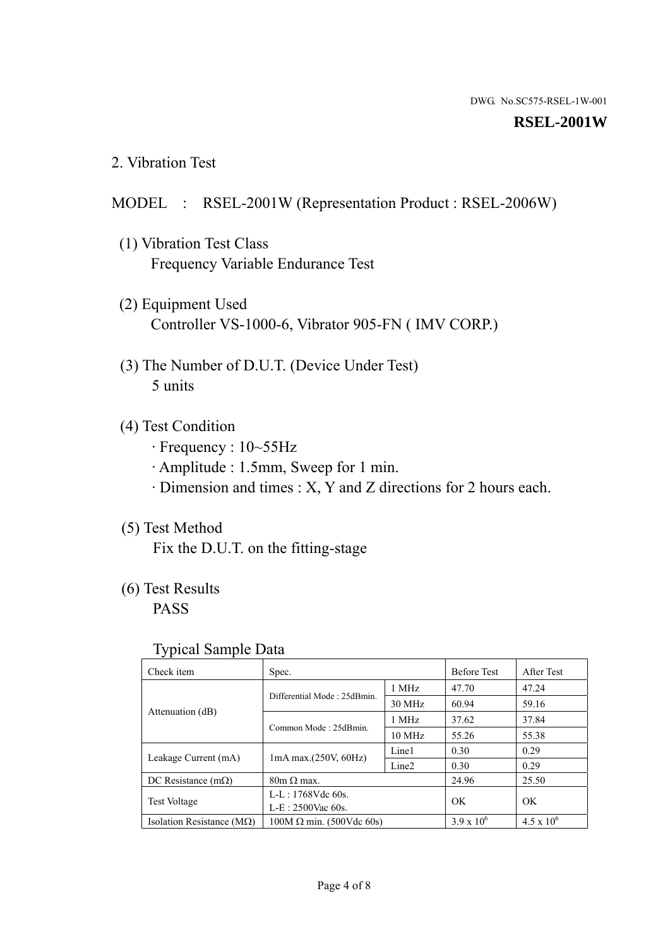#### **RSEL-2001W**

2. Vibration Test

## MODEL : RSEL-2001W (Representation Product : RSEL-2006W)

- (1) Vibration Test Class Frequency Variable Endurance Test
- (2) Equipment Used Controller VS-1000-6, Vibrator 905-FN ( IMV CORP.)
- (3) The Number of D.U.T. (Device Under Test) 5 units
- (4) Test Condition
	- · Frequency : 10~55Hz
	- · Amplitude : 1.5mm, Sweep for 1 min.
	- · Dimension and times : X, Y and Z directions for 2 hours each.

## (5) Test Method

Fix the D.U.T. on the fitting-stage

# (6) Test Results

PASS

#### Typical Sample Data

| . .                                |                                                         |                  |                     |                     |
|------------------------------------|---------------------------------------------------------|------------------|---------------------|---------------------|
| Check item                         | Spec.                                                   |                  | <b>Before Test</b>  | After Test          |
|                                    | Differential Mode: 25dBmin.                             | 1 MHz            | 47.70               | 47.24               |
|                                    |                                                         | 30 MHz           | 60.94               | 59.16               |
| Attenuation (dB)                   | Common Mode: 25dBmin.                                   | 1 MHz            | 37.62               | 37.84               |
|                                    |                                                         | $10 \text{ MHz}$ | 55.26               | 55.38               |
| Leakage Current (mA)               | Line1<br>$1mA$ max. $(250V, 60Hz)$<br>Line <sub>2</sub> |                  | 0.30                | 0.29                |
|                                    |                                                         | 0.30             | 0.29                |                     |
| DC Resistance $(m\Omega)$          | $80m \Omega$ max.                                       |                  | 24.96               | 25.50               |
| <b>Test Voltage</b>                | $L-L: 1768Vdc$ 60s.                                     |                  | OK                  | OK.                 |
|                                    | $L-E$ : 2500Vac 60s.                                    |                  |                     |                     |
| Isolation Resistance ( $M\Omega$ ) | $100M \Omega$ min. (500Vdc 60s)                         |                  | $3.9 \times 10^{6}$ | $4.5 \times 10^{6}$ |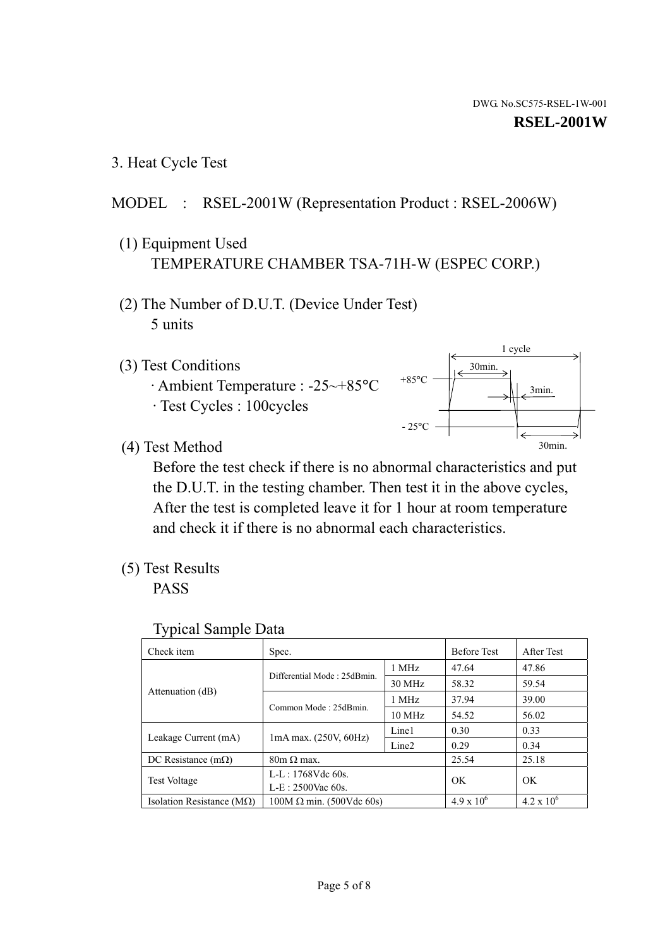1 cycle

30min.

3min.

30min.

3. Heat Cycle Test

# MODEL : RSEL-2001W (Representation Product : RSEL-2006W)

- (1) Equipment Used TEMPERATURE CHAMBER TSA-71H-W (ESPEC CORP.)
- (2) The Number of D.U.T. (Device Under Test) 5 units
- (3) Test Conditions
	- · Ambient Temperature : -25~+85°C · Test Cycles : 100cycles
- (4) Test Method

 Before the test check if there is no abnormal characteristics and put the D.U.T. in the testing chamber. Then test it in the above cycles, After the test is completed leave it for 1 hour at room temperature and check it if there is no abnormal each characteristics.

 $+85$ °C

 $-25^{\circ}$ C

(5) Test Results

PASS

| <b>Typical Sample Data</b> |  |  |
|----------------------------|--|--|
|----------------------------|--|--|

| Check item                                                  | Spec.                                                                           |                  | <b>Before Test</b>  | After Test        |
|-------------------------------------------------------------|---------------------------------------------------------------------------------|------------------|---------------------|-------------------|
|                                                             | Differential Mode: 25dBmin.                                                     | 1 MHz            | 47.64               | 47.86             |
|                                                             |                                                                                 | 30 MHz           | 58.32               | 59.54             |
| Attenuation (dB)                                            | Common Mode: 25dBmin.                                                           | 1 MHz            | 37.94               | 39.00             |
|                                                             |                                                                                 | $10 \text{ MHz}$ | 54.52               | 56.02             |
|                                                             | Line1<br>$1mA$ max. $(250V, 60Hz)$<br>Leakage Current (mA)<br>Line <sub>2</sub> |                  | 0.30                | 0.33              |
|                                                             |                                                                                 |                  | 0.29                | 0.34              |
| DC Resistance $(m\Omega)$                                   | $80m \Omega$ max.                                                               |                  | 25.54               | 25.18             |
| $L-L: 1768Vdc$ 60s.<br>Test Voltage<br>$L-E: 2500$ Vac 60s. |                                                                                 |                  | OK                  | OK                |
|                                                             |                                                                                 |                  |                     |                   |
| Isolation Resistance ( $M\Omega$ )                          | $100M \Omega$ min. (500Vdc 60s)                                                 |                  | $4.9 \times 10^{6}$ | $4.2 \times 10^6$ |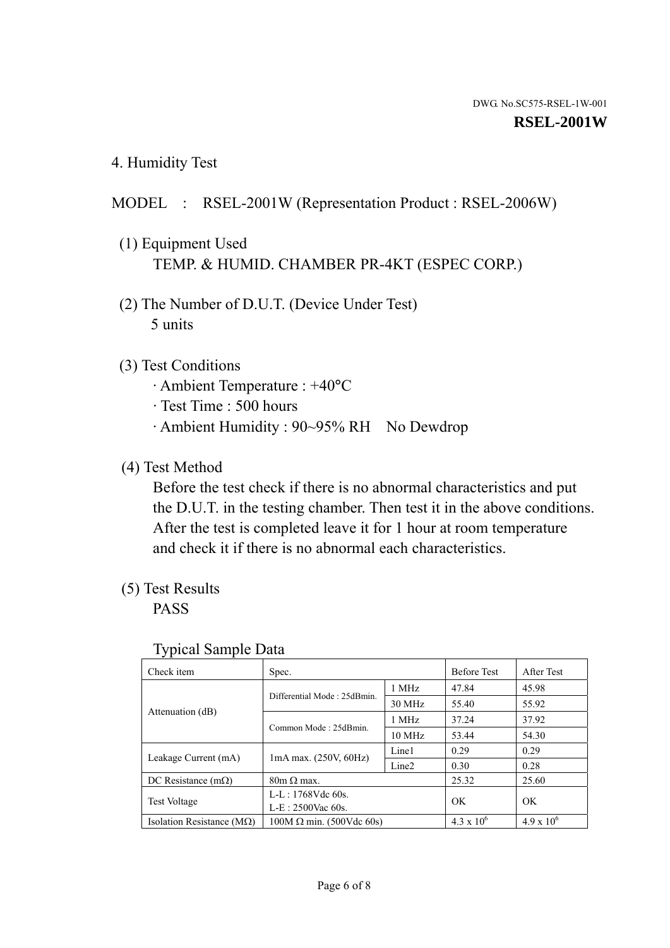4. Humidity Test

# MODEL : RSEL-2001W (Representation Product : RSEL-2006W)

- (1) Equipment Used TEMP. & HUMID. CHAMBER PR-4KT (ESPEC CORP.)
- (2) The Number of D.U.T. (Device Under Test) 5 units

## (3) Test Conditions

- · Ambient Temperature : +40°C
- · Test Time : 500 hours
- · Ambient Humidity : 90~95% RH No Dewdrop

# (4) Test Method

 Before the test check if there is no abnormal characteristics and put the D.U.T. in the testing chamber. Then test it in the above conditions. After the test is completed leave it for 1 hour at room temperature and check it if there is no abnormal each characteristics.

# (5) Test Results

PASS

| ╯┸                                 |                                                                                 |                  |                     |                     |
|------------------------------------|---------------------------------------------------------------------------------|------------------|---------------------|---------------------|
| Check item                         | Spec.                                                                           |                  | <b>Before Test</b>  | After Test          |
|                                    |                                                                                 | 1 MHz            | 47.84               | 45.98               |
|                                    | Differential Mode: 25dBmin.                                                     | 30 MHz           | 55.40               | 55.92               |
| Attenuation (dB)                   | Common Mode: 25dBmin.                                                           | 1 MHz            | 37.24               | 37.92               |
|                                    |                                                                                 | $10 \text{ MHz}$ | 53.44               | 54.30               |
|                                    | Line1<br>$1mA$ max. $(250V, 60Hz)$<br>Leakage Current (mA)<br>Line <sub>2</sub> |                  | 0.29                | 0.29                |
|                                    |                                                                                 |                  | 0.30                | 0.28                |
| DC Resistance $(m\Omega)$          | $80m \Omega$ max.                                                               |                  | 25.32               | 25.60               |
| <b>Test Voltage</b>                | $L-L: 1768Vdc$ 60s.                                                             |                  | OK                  | OK.                 |
|                                    | $L-E: 2500$ Vac 60s.                                                            |                  |                     |                     |
| Isolation Resistance ( $M\Omega$ ) | $100M \Omega$ min. (500Vdc 60s)                                                 |                  | $4.3 \times 10^{6}$ | $4.9 \times 10^{6}$ |

#### Typical Sample Data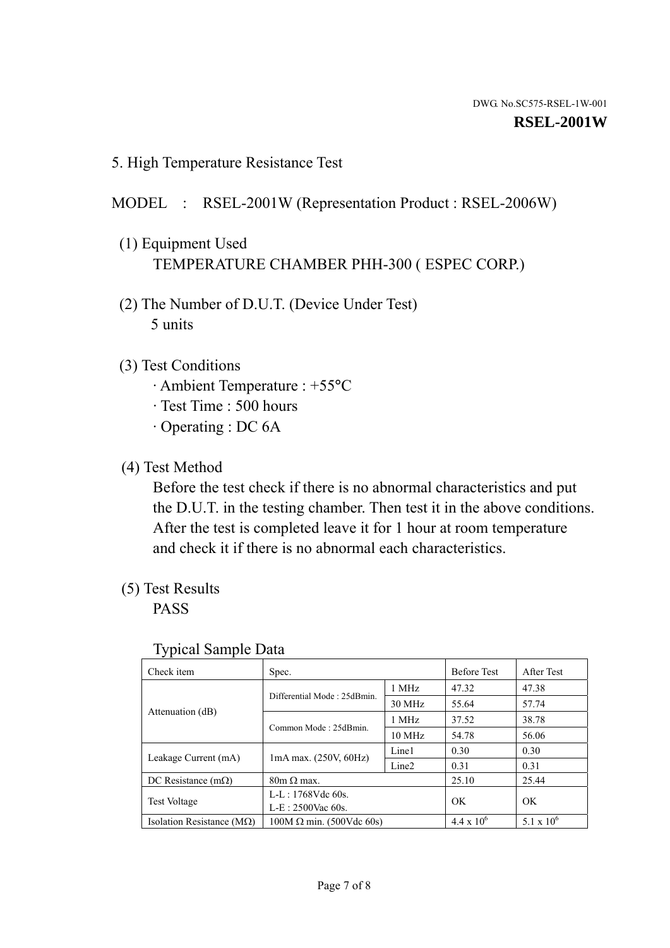5. High Temperature Resistance Test

### MODEL : RSEL-2001W (Representation Product : RSEL-2006W)

- (1) Equipment Used TEMPERATURE CHAMBER PHH-300 ( ESPEC CORP.)
- (2) The Number of D.U.T. (Device Under Test) 5 units
- (3) Test Conditions
	- · Ambient Temperature : +55°C
	- · Test Time : 500 hours
	- · Operating : DC 6A
- (4) Test Method

 Before the test check if there is no abnormal characteristics and put the D.U.T. in the testing chamber. Then test it in the above conditions. After the test is completed leave it for 1 hour at room temperature and check it if there is no abnormal each characteristics.

(5) Test Results

PASS

| ╯┸                                 |                                 |                   |                     |                     |
|------------------------------------|---------------------------------|-------------------|---------------------|---------------------|
| Check item                         | Spec.                           |                   | <b>Before Test</b>  | After Test          |
|                                    | Differential Mode: 25dBmin.     | 1 MHz             | 47.32               | 47.38               |
|                                    |                                 | 30 MHz            | 55.64               | 57.74               |
| Attenuation (dB)                   | Common Mode: 25dBmin.           | 1 MHz             | 37.52               | 38.78               |
|                                    |                                 | 10 MHz            | 54.78               | 56.06               |
| Leakage Current (mA)               | $1mA$ max. $(250V, 60Hz)$       | Line1             | 0.30                | 0.30                |
|                                    |                                 | Line <sub>2</sub> | 0.31                | 0.31                |
| DC Resistance $(m\Omega)$          | $80m \Omega$ max.               |                   | 25.10               | 25.44               |
| <b>Test Voltage</b>                | $L-L: 1768Vdc$ 60s.             |                   | OK                  | OK                  |
|                                    | $L-E: 2500$ Vac 60s.            |                   |                     |                     |
| Isolation Resistance ( $M\Omega$ ) | $100M \Omega$ min. (500Vdc 60s) |                   | $4.4 \times 10^{6}$ | $5.1 \times 10^{6}$ |

#### Typical Sample Data